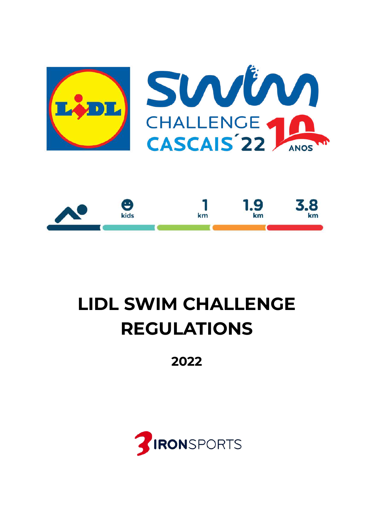



# **LIDL SWIM CHALLENGE REGULATIONS**

**2022**

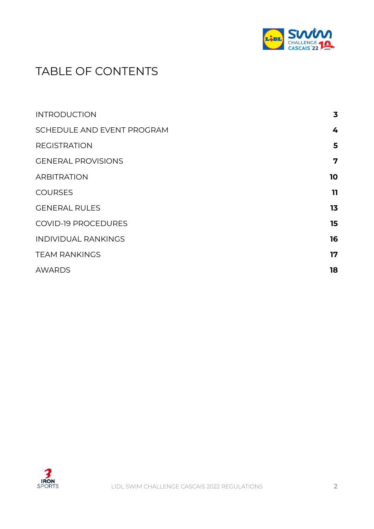

# TABLE OF CONTENTS

| <b>INTRODUCTION</b>        | 3                       |
|----------------------------|-------------------------|
| SCHEDULE AND EVENT PROGRAM | 4                       |
| <b>REGISTRATION</b>        | 5                       |
| <b>GENERAL PROVISIONS</b>  | $\overline{\mathbf{z}}$ |
| <b>ARBITRATION</b>         | 10                      |
| <b>COURSES</b>             | $\mathbf{11}$           |
| <b>GENERAL RULES</b>       | 13                      |
| <b>COVID-19 PROCEDURES</b> | 15                      |
| <b>INDIVIDUAL RANKINGS</b> | 16                      |
| <b>TEAM RANKINGS</b>       | 17                      |
| <b>AWARDS</b>              | 18                      |

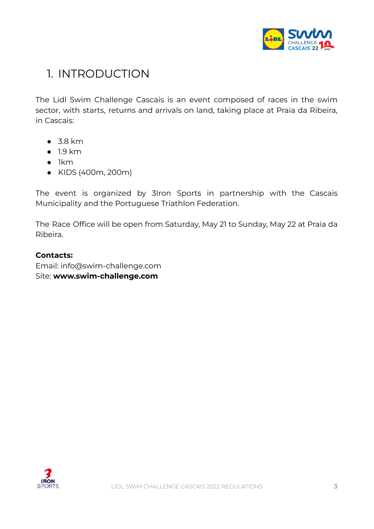

### <span id="page-2-0"></span>1. INTRODUCTION

The Lidl Swim Challenge Cascais is an event composed of races in the swim sector, with starts, returns and arrivals on land, taking place at Praia da Ribeira, in Cascais:

- 3.8 km
- 1.9 km
- 1km
- KIDS (400m, 200m)

The event is organized by 3Iron Sports in partnership with the Cascais Municipality and the Portuguese Triathlon Federation.

The Race Office will be open from Saturday, May 21 to Sunday, May 22 at Praia da Ribeira.

#### **Contacts:**

Email: info@swim-challenge.com Site: **www.swim-challenge.com**

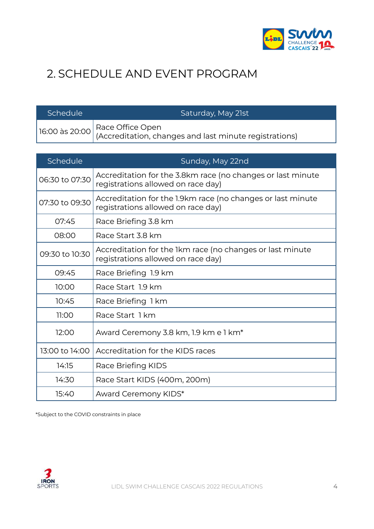

# <span id="page-3-0"></span>2. SCHEDULE AND EVENT PROGRAM

| Schedule | Saturday, May 21st                                                                                       |
|----------|----------------------------------------------------------------------------------------------------------|
|          | 16:00 às 20:00 Race Office Open<br>16:00 às 20:00 (Accreditation, changes and last minute registrations) |

| Schedule       | Sunday, May 22nd                                                                                  |  |  |  |
|----------------|---------------------------------------------------------------------------------------------------|--|--|--|
| 06:30 to 07:30 | Accreditation for the 3.8km race (no changes or last minute<br>registrations allowed on race day) |  |  |  |
| 07:30 to 09:30 | Accreditation for the 1.9km race (no changes or last minute<br>registrations allowed on race day) |  |  |  |
| 07:45          | Race Briefing 3.8 km                                                                              |  |  |  |
| 08:00          | Race Start 3.8 km                                                                                 |  |  |  |
| 09:30 to 10:30 | Accreditation for the 1km race (no changes or last minute<br>registrations allowed on race day)   |  |  |  |
| 09:45          | Race Briefing 1.9 km                                                                              |  |  |  |
| 10:00          | Race Start 1.9 km                                                                                 |  |  |  |
| 10:45          | Race Briefing 1 km                                                                                |  |  |  |
| 11:00          | Race Start 1 km                                                                                   |  |  |  |
| 12:00          | Award Ceremony 3.8 km, 1.9 km e 1 km <sup>*</sup>                                                 |  |  |  |
| 13:00 to 14:00 | Accreditation for the KIDS races                                                                  |  |  |  |
| 14:15          | Race Briefing KIDS                                                                                |  |  |  |
| 14:30          | Race Start KIDS (400m, 200m)                                                                      |  |  |  |
| 15:40          | Award Ceremony KIDS*                                                                              |  |  |  |

\*Subject to the COVID constraints in place

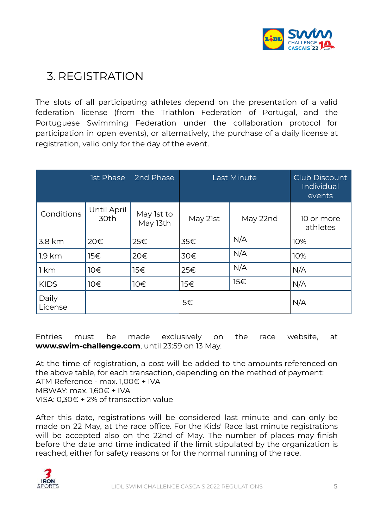

### <span id="page-4-0"></span>3. REGISTRATION

The slots of all participating athletes depend on the presentation of a valid federation license (from the Triathlon Federation of Portugal, and the Portuguese Swimming Federation under the collaboration protocol for participation in open events), or alternatively, the purchase of a daily license at registration, valid only for the day of the event.

|                  | 1st Phase           | 2nd Phase              | Last Minute |          | Club Discount<br>Individual<br>events |
|------------------|---------------------|------------------------|-------------|----------|---------------------------------------|
| Conditions       | Until April<br>30th | May 1st to<br>May 13th | May 21st    | May 22nd | 10 or more<br>athletes                |
| 3.8 km           | 20€                 | 25€                    | 35€         | N/A      | 10%                                   |
| 1.9 km           | 15€                 | 20€                    | 30€         | N/A      | 10%                                   |
| 1 km             | 10€                 | 15€                    | 25€         | N/A      | N/A                                   |
| <b>KIDS</b>      | 10E                 | 10E                    | 15€         | 15€      | N/A                                   |
| Daily<br>License |                     |                        | 5€          |          | N/A                                   |

Entries must be made exclusively on the race website, at **www.swim-challenge.com**, until 23:59 on 13 May.

At the time of registration, a cost will be added to the amounts referenced on the above table, for each transaction, depending on the method of payment: ATM Reference - max. 1,00€ + IVA MBWAY: max. 1,60€ + IVA VISA: 0,30€ + 2% of transaction value

After this date, registrations will be considered last minute and can only be made on 22 May, at the race office. For the Kids' Race last minute registrations will be accepted also on the 22nd of May. The number of places may finish before the date and time indicated if the limit stipulated by the organization is reached, either for safety reasons or for the normal running of the race.

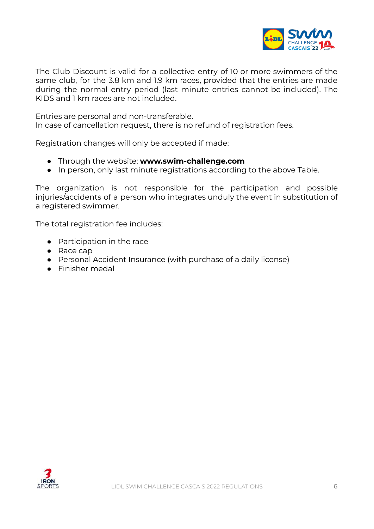

The Club Discount is valid for a collective entry of 10 or more swimmers of the same club, for the 3.8 km and 1.9 km races, provided that the entries are made during the normal entry period (last minute entries cannot be included). The KIDS and 1 km races are not included.

Entries are personal and non-transferable. In case of cancellation request, there is no refund of registration fees.

Registration changes will only be accepted if made:

- Through the website: **www.swim-challenge.com**
- In person, only last minute registrations according to the above Table.

The organization is not responsible for the participation and possible injuries/accidents of a person who integrates unduly the event in substitution of a registered swimmer.

The total registration fee includes:

- Participation in the race
- Race cap
- Personal Accident Insurance (with purchase of a daily license)
- Finisher medal

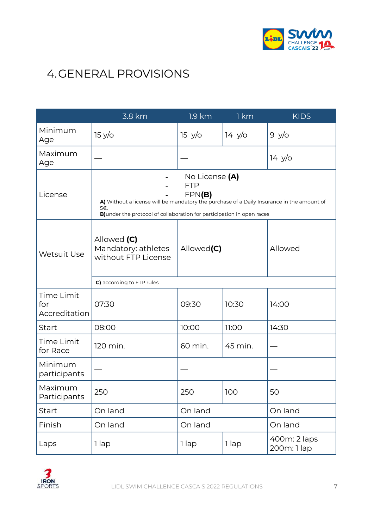

### <span id="page-6-0"></span>4.GENERAL PROVISIONS

|                                           | $3.8 \overline{\text{km}}$                                                                                                                                                                                           | $1.9 \text{ km}$ | 1 km             | <b>KIDS</b>                 |  |
|-------------------------------------------|----------------------------------------------------------------------------------------------------------------------------------------------------------------------------------------------------------------------|------------------|------------------|-----------------------------|--|
| Minimum<br>Age                            | 15 y/o                                                                                                                                                                                                               | $15 \text{ y/o}$ | 14 y/o           | 9 $y$ /o                    |  |
| Maximum<br>Age                            |                                                                                                                                                                                                                      |                  | $14 \frac{y}{0}$ |                             |  |
| License                                   | No License (A)<br><b>FTP</b><br>FPN(B)<br>A) Without a license will be mandatory the purchase of a Daily Insurance in the amount of<br>5€.<br>B) under the protocol of collaboration for participation in open races |                  |                  |                             |  |
| <b>Wetsuit Use</b>                        | Allowed (C)<br>Mandatory: athletes<br>without FTP License                                                                                                                                                            | Allowed(C)       |                  | Allowed                     |  |
|                                           | C) according to FTP rules                                                                                                                                                                                            |                  |                  |                             |  |
| <b>Time Limit</b><br>for<br>Accreditation | 07:30                                                                                                                                                                                                                | 09:30            | 10:30            | 14:00                       |  |
| <b>Start</b>                              | 08:00                                                                                                                                                                                                                | 10:00            | 11:00            | 14:30                       |  |
| <b>Time Limit</b><br>for Race             | 120 min.                                                                                                                                                                                                             | 60 min.          | 45 min.          |                             |  |
| Minimum<br>participants                   |                                                                                                                                                                                                                      |                  |                  |                             |  |
| Maximum<br>Participants                   | 250                                                                                                                                                                                                                  | 250              | 100              | 50                          |  |
| Start                                     | On land                                                                                                                                                                                                              | On land          |                  | On land                     |  |
| Finish                                    | On land                                                                                                                                                                                                              | On land          |                  | On land                     |  |
| Laps                                      | 1 lap                                                                                                                                                                                                                | 1 lap            | 1 lap            | 400m: 2 laps<br>200m: 1 lap |  |

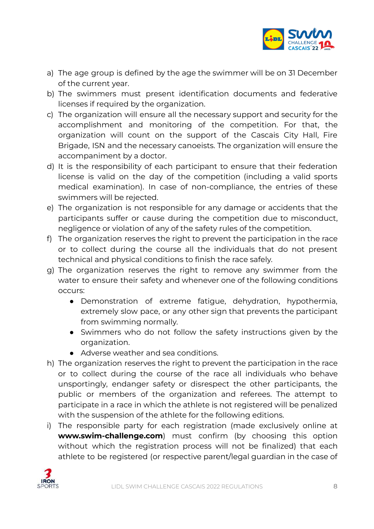

- a) The age group is defined by the age the swimmer will be on 31 December of the current year.
- b) The swimmers must present identification documents and federative licenses if required by the organization.
- c) The organization will ensure all the necessary support and security for the accomplishment and monitoring of the competition. For that, the organization will count on the support of the Cascais City Hall, Fire Brigade, ISN and the necessary canoeists. The organization will ensure the accompaniment by a doctor.
- d) It is the responsibility of each participant to ensure that their federation license is valid on the day of the competition (including a valid sports medical examination). In case of non-compliance, the entries of these swimmers will be rejected.
- e) The organization is not responsible for any damage or accidents that the participants suffer or cause during the competition due to misconduct, negligence or violation of any of the safety rules of the competition.
- f) The organization reserves the right to prevent the participation in the race or to collect during the course all the individuals that do not present technical and physical conditions to finish the race safely.
- g) The organization reserves the right to remove any swimmer from the water to ensure their safety and whenever one of the following conditions occurs:
	- Demonstration of extreme fatigue, dehydration, hypothermia, extremely slow pace, or any other sign that prevents the participant from swimming normally.
	- Swimmers who do not follow the safety instructions given by the organization.
	- Adverse weather and sea conditions.
- h) The organization reserves the right to prevent the participation in the race or to collect during the course of the race all individuals who behave unsportingly, endanger safety or disrespect the other participants, the public or members of the organization and referees. The attempt to participate in a race in which the athlete is not registered will be penalized with the suspension of the athlete for the following editions.
- i) The responsible party for each registration (made exclusively online at **www.swim-challenge.com**) must confirm (by choosing this option without which the registration process will not be finalized) that each athlete to be registered (or respective parent/legal guardian in the case of

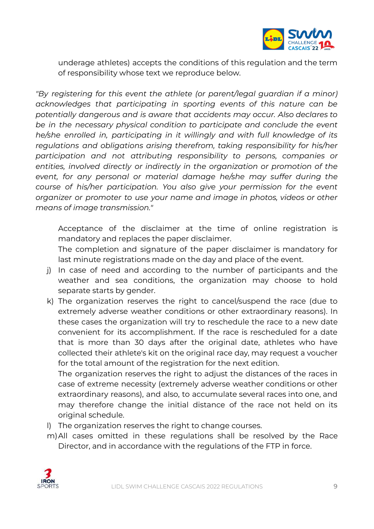

underage athletes) accepts the conditions of this regulation and the term of responsibility whose text we reproduce below.

*"By registering for this event the athlete (or parent/legal guardian if a minor) acknowledges that participating in sporting events of this nature can be potentially dangerous and is aware that accidents may occur. Also declares to be in the necessary physical condition to participate and conclude the event he/she enrolled in, participating in it willingly and with full knowledge of its regulations and obligations arising therefrom, taking responsibility for his/her participation and not attributing responsibility to persons, companies or entities, involved directly or indirectly in the organization or promotion of the event, for any personal or material damage he/she may suffer during the course of his/her participation. You also give your permission for the event organizer or promoter to use your name and image in photos, videos or other means of image transmission."*

Acceptance of the disclaimer at the time of online registration is mandatory and replaces the paper disclaimer.

The completion and signature of the paper disclaimer is mandatory for last minute registrations made on the day and place of the event.

- j) In case of need and according to the number of participants and the weather and sea conditions, the organization may choose to hold separate starts by gender.
- k) The organization reserves the right to cancel/suspend the race (due to extremely adverse weather conditions or other extraordinary reasons). In these cases the organization will try to reschedule the race to a new date convenient for its accomplishment. If the race is rescheduled for a date that is more than 30 days after the original date, athletes who have collected their athlete's kit on the original race day, may request a voucher for the total amount of the registration for the next edition.

The organization reserves the right to adjust the distances of the races in case of extreme necessity (extremely adverse weather conditions or other extraordinary reasons), and also, to accumulate several races into one, and may therefore change the initial distance of the race not held on its original schedule.

- l) The organization reserves the right to change courses.
- m)All cases omitted in these regulations shall be resolved by the Race Director, and in accordance with the regulations of the FTP in force.

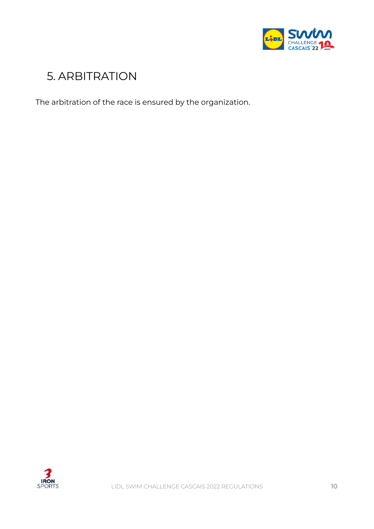

# <span id="page-9-0"></span>5. ARBITRATION

The arbitration of the race is ensured by the organization.

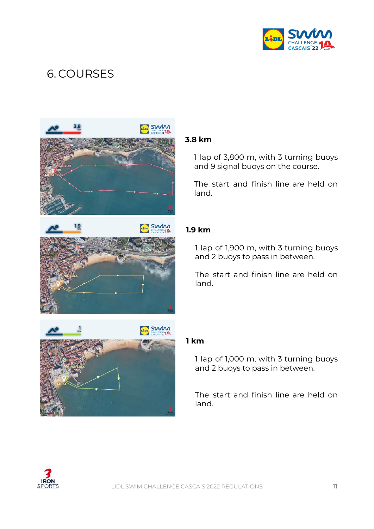

### <span id="page-10-0"></span>6. COURSES



#### **3.8 km**

1 lap of 3,800 m, with 3 turning buoys and 9 signal buoys on the course.

The start and finish line are held on land.

#### **1.9 km**

Line SWW

1 lap of 1,900 m, with 3 turning buoys and 2 buoys to pass in between.

The start and finish line are held on land.



#### **1 km**

1 lap of 1,000 m, with 3 turning buoys and 2 buoys to pass in between.

The start and finish line are held on land.

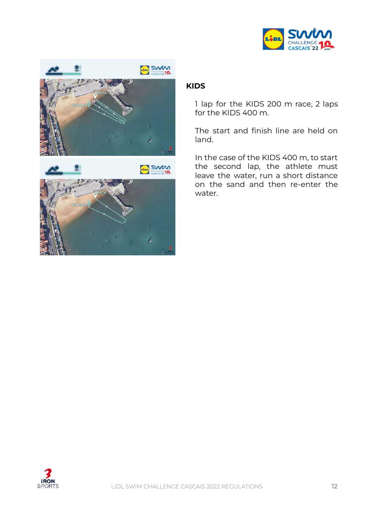



#### **KIDS**

1 lap for the KIDS 200 m race, 2 laps for the KIDS 400 m.

The start and finish line are held on land.

In the case of the KIDS 400 m, to start the second lap, the athlete must leave the water, run a short distance on the sand and then re-enter the water.

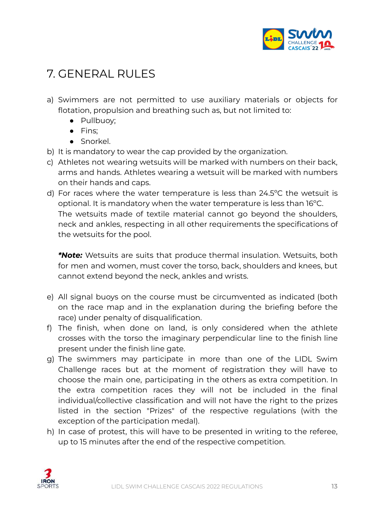

### <span id="page-12-0"></span>7. GENERAL RULES

- a) Swimmers are not permitted to use auxiliary materials or objects for flotation, propulsion and breathing such as, but not limited to:
	- Pullbuoy;
	- Fins;
	- Snorkel.
- b) It is mandatory to wear the cap provided by the organization.
- c) Athletes not wearing wetsuits will be marked with numbers on their back, arms and hands. Athletes wearing a wetsuit will be marked with numbers on their hands and caps.
- d) For races where the water temperature is less than 24.5ºC the wetsuit is optional. It is mandatory when the water temperature is less than 16ºC. The wetsuits made of textile material cannot go beyond the shoulders, neck and ankles, respecting in all other requirements the specifications of the wetsuits for the pool.

*\*Note:* Wetsuits are suits that produce thermal insulation. Wetsuits, both for men and women, must cover the torso, back, shoulders and knees, but cannot extend beyond the neck, ankles and wrists.

- e) All signal buoys on the course must be circumvented as indicated (both on the race map and in the explanation during the briefing before the race) under penalty of disqualification.
- f) The finish, when done on land, is only considered when the athlete crosses with the torso the imaginary perpendicular line to the finish line present under the finish line gate.
- g) The swimmers may participate in more than one of the LIDL Swim Challenge races but at the moment of registration they will have to choose the main one, participating in the others as extra competition. In the extra competition races they will not be included in the final individual/collective classification and will not have the right to the prizes listed in the section "Prizes" of the respective regulations (with the exception of the participation medal).
- h) In case of protest, this will have to be presented in writing to the referee, up to 15 minutes after the end of the respective competition.

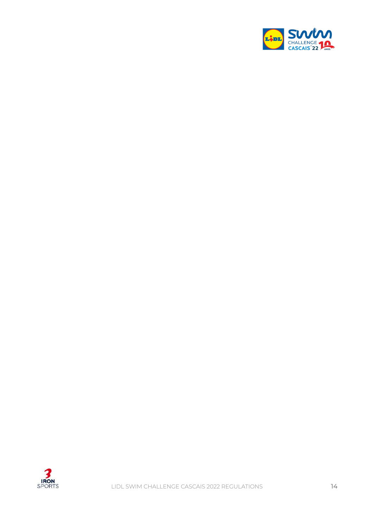

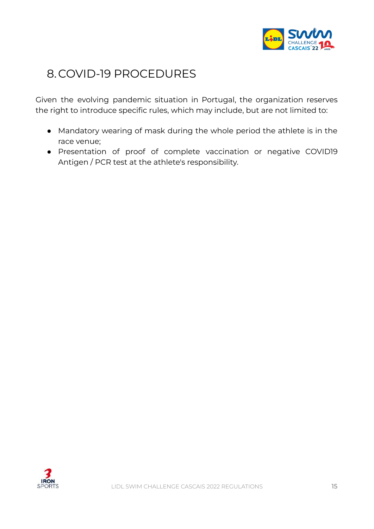

# <span id="page-14-0"></span>8.COVID-19 PROCEDURES

Given the evolving pandemic situation in Portugal, the organization reserves the right to introduce specific rules, which may include, but are not limited to:

- Mandatory wearing of mask during the whole period the athlete is in the race venue;
- Presentation of proof of complete vaccination or negative COVID19 Antigen / PCR test at the athlete's responsibility.

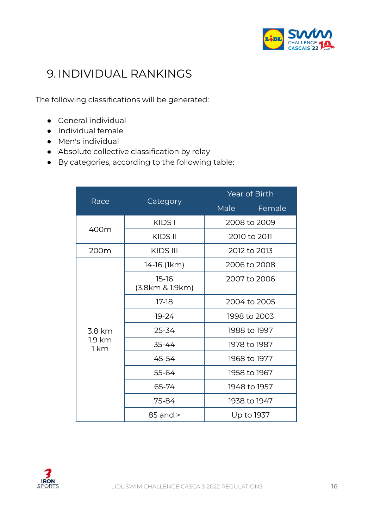

# <span id="page-15-0"></span>9. INDIVIDUAL RANKINGS

The following classifications will be generated:

- General individual
- Individual female
- Men's individual
- Absolute collective classification by relay
- By categories, according to the following table:

|                  |                            | Year of Birth |  |  |
|------------------|----------------------------|---------------|--|--|
| Race             | Category                   | Male Female   |  |  |
| 400m             | KIDS I                     | 2008 to 2009  |  |  |
|                  | KIDS II                    | 2010 to 2011  |  |  |
| 200 <sub>m</sub> | KIDS III                   | 2012 to 2013  |  |  |
|                  | 14-16 (1km)                | 2006 to 2008  |  |  |
|                  | $15-16$<br>(3.8km & 1.9km) | 2007 to 2006  |  |  |
|                  | $17-18$<br>2004 to 2005    |               |  |  |
|                  | $19 - 24$                  | 1998 to 2003  |  |  |
| 3.8 km           | 25-34                      | 1988 to 1997  |  |  |
| 1.9 km<br>1 km   | 35-44                      | 1978 to 1987  |  |  |
|                  | 45-54                      | 1968 to 1977  |  |  |
|                  | 55-64                      | 1958 to 1967  |  |  |
|                  | 65-74                      | 1948 to 1957  |  |  |
|                  | 75-84                      | 1938 to 1947  |  |  |
|                  | $85$ and $>$               | Up to 1937    |  |  |

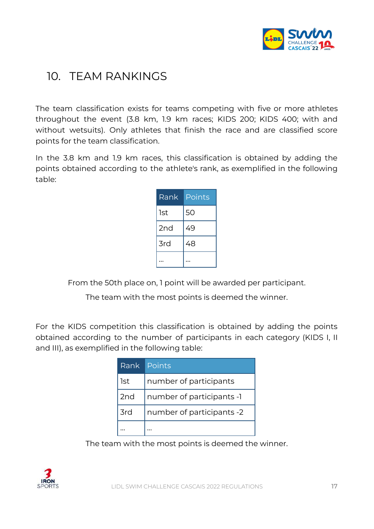

### <span id="page-16-0"></span>10. TEAM RANKINGS

The team classification exists for teams competing with five or more athletes throughout the event (3.8 km, 1.9 km races; KIDS 200; KIDS 400; with and without wetsuits). Only athletes that finish the race and are classified score points for the team classification.

In the 3.8 km and 1.9 km races, this classification is obtained by adding the points obtained according to the athlete's rank, as exemplified in the following table:

| Rank            | Points |
|-----------------|--------|
| 1st             | 50     |
| 2 <sub>nd</sub> | 49     |
| 3rd             | 48     |
|                 |        |

From the 50th place on, 1 point will be awarded per participant.

The team with the most points is deemed the winner.

For the KIDS competition this classification is obtained by adding the points obtained according to the number of participants in each category (KIDS I, II and III), as exemplified in the following table:

|     | Rank Points               |
|-----|---------------------------|
| 1st | number of participants    |
| 2nd | number of participants -1 |
| 3rd | number of participants -2 |
|     |                           |

The team with the most points is deemed the winner.